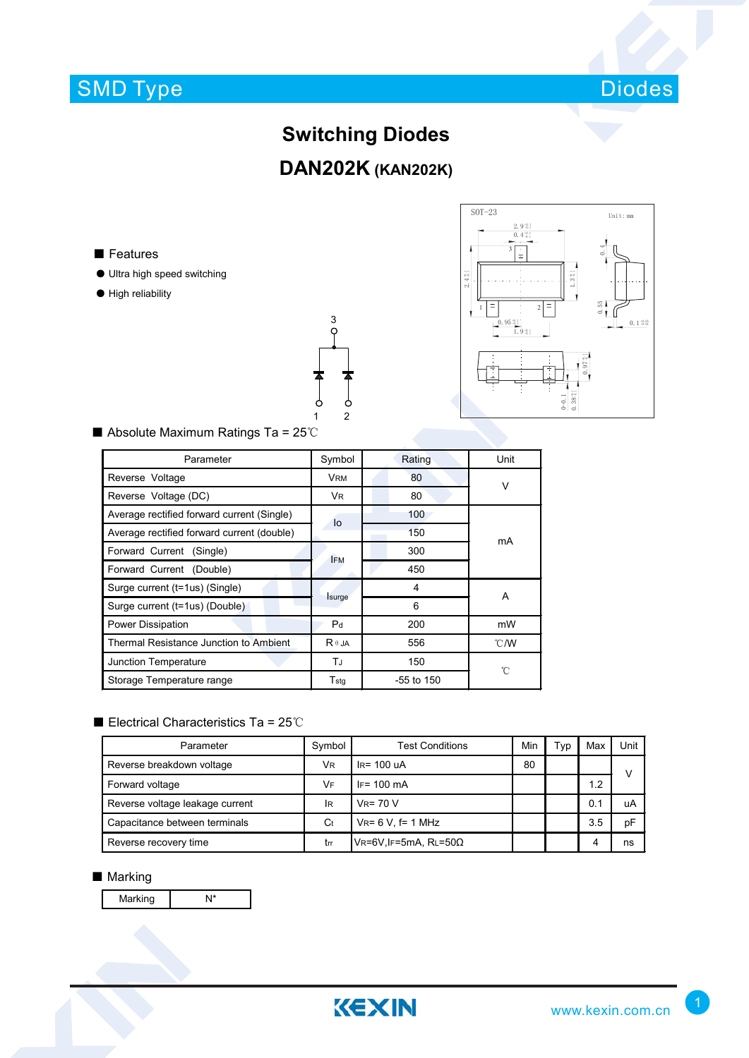

## **Switching Diodes**

## **DAN202K (KAN202K)**

■ Features

- Ultra high speed switching
- High reliability





#### ■ Absolute Maximum Ratings Ta = 25℃

| Parameter                                  | Symbol         | Rating     | Unit          |  |
|--------------------------------------------|----------------|------------|---------------|--|
| Reverse Voltage                            | <b>VRM</b>     | 80         | ν             |  |
| Reverse Voltage (DC)                       | VR.            | 80         |               |  |
| Average rectified forward current (Single) | lo             | 100        | mA            |  |
| Average rectified forward current (double) |                | 150        |               |  |
| Forward Current (Single)                   | <b>IFM</b>     | 300        |               |  |
| Forward Current (Double)                   |                | 450        |               |  |
| Surge current (t=1us) (Single)             |                | 4          | A             |  |
| Surge current (t=1us) (Double)             | Isurge         | 6          |               |  |
| Power Dissipation                          | P <sub>d</sub> | 200        | mW            |  |
| Thermal Resistance Junction to Ambient     | $R \theta$ JA  | 556        | $\degree$ C/W |  |
| Junction Temperature                       | TJ             | 150        | 'n            |  |
| Storage Temperature range                  | $T_{\sf stq}$  | -55 to 150 |               |  |

### ■ Electrical Characteristics Ta = 25℃

| Parameter                       | Symbol | <b>Test Conditions</b>           | Min | <b>VD</b> | Max | Unit |
|---------------------------------|--------|----------------------------------|-----|-----------|-----|------|
| Reverse breakdown voltage       | VR     | $IR = 100 uA$                    | 80  |           |     | v    |
| Forward voltage                 | VF     | $IF = 100 \text{ mA}$            |     |           | 1.2 |      |
| Reverse voltage leakage current | lR     | $V_R = 70 V$                     |     |           | 0.1 | uA   |
| Capacitance between terminals   | Ct     | $V_{R} = 6 V$ , f= 1 MHz         |     |           | 3.5 | рF   |
| Reverse recovery time           | trr    | $V$ R=6V, IF=5mA, RL=50 $\Omega$ |     |           | 4   | ns   |

#### ■ Marking

Marking N<sup>\*</sup>

KEXIN